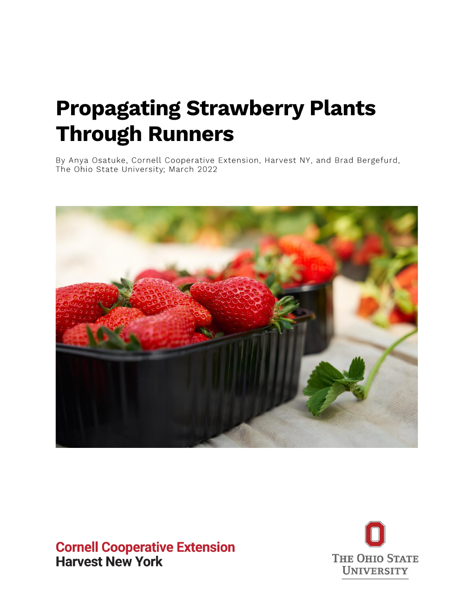# **Propagating Strawberry Plants Through Runners**

By Anya Osatuke, Cornell Cooperative Extension, Harvest NY, and Brad Bergefurd, The Ohio State University; March 2022



# **Cornell Cooperative Extension Harvest New York**

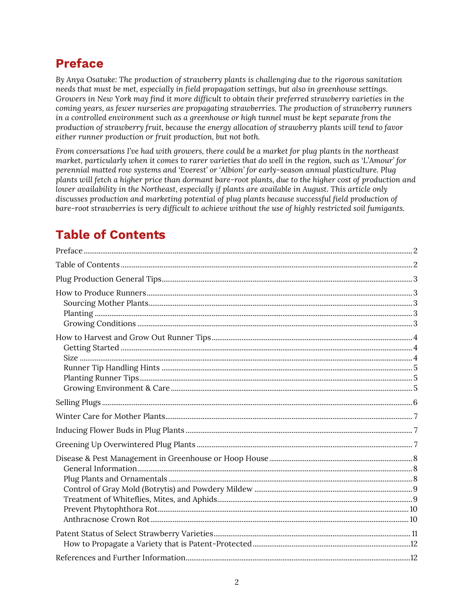# <span id="page-1-0"></span>**Preface**

*By Anya Osatuke: The production of strawberry plants is challenging due to the rigorous sanitation needs that must be met, especially in field propagation settings, but also in greenhouse settings. Growers in New York may find it more difficult to obtain their preferred strawberry varieties in the coming years, as fewer nurseries are propagating strawberries. The production of strawberry runners in a controlled environment such as a greenhouse or high tunnel must be kept separate from the production of strawberry fruit, because the energy allocation of strawberry plants will tend to favor either runner production or fruit production, but not both.* 

*From conversations I've had with growers, there could be a market for plug plants in the northeast market, particularly when it comes to rarer varieties that do well in the region, such as 'L'Amour' for perennial matted row systems and 'Everest' or 'Albion' for early-season annual plasticulture. Plug plants will fetch a higher price than dormant bare-root plants, due to the higher cost of production and lower availability in the Northeast, especially if plants are available in August. This article only discusses production and marketing potential of plug plants because successful field production of bare-root strawberries is very difficult to achieve without the use of highly restricted soil fumigants.* 

# <span id="page-1-1"></span>**Table of Contents**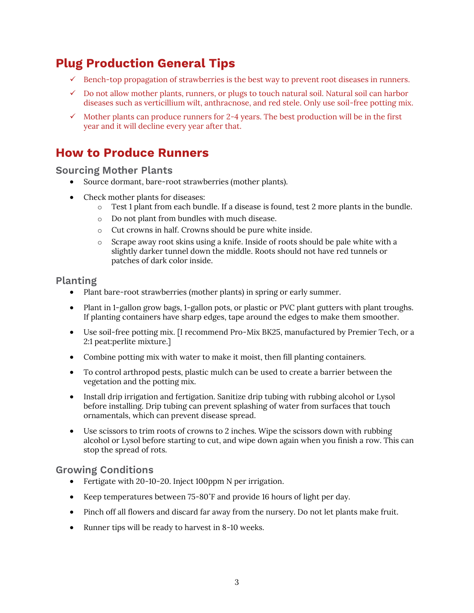# <span id="page-2-0"></span>**Plug Production General Tips**

- $\checkmark$  Bench-top propagation of strawberries is the best way to prevent root diseases in runners.
- $\checkmark$  Do not allow mother plants, runners, or plugs to touch natural soil. Natural soil can harbor diseases such as verticillium wilt, anthracnose, and red stele. Only use soil-free potting mix.
- $\checkmark$  Mother plants can produce runners for 2-4 years. The best production will be in the first year and it will decline every year after that.

### <span id="page-2-1"></span>**How to Produce Runners**

### <span id="page-2-2"></span>**Sourcing Mother Plants**

- Source dormant, bare-root strawberries (mother plants).
- Check mother plants for diseases:
	- $\circ$  Test 1 plant from each bundle. If a disease is found, test 2 more plants in the bundle.
	- o Do not plant from bundles with much disease.
	- o Cut crowns in half. Crowns should be pure white inside.
	- o Scrape away root skins using a knife. Inside of roots should be pale white with a slightly darker tunnel down the middle. Roots should not have red tunnels or patches of dark color inside.

### <span id="page-2-3"></span>**Planting**

- Plant bare-root strawberries (mother plants) in spring or early summer.
- Plant in 1-gallon grow bags, 1-gallon pots, or plastic or PVC plant gutters with plant troughs. If planting containers have sharp edges, tape around the edges to make them smoother.
- Use soil-free potting mix. [I recommend Pro-Mix BK25, manufactured by Premier Tech, or a 2:1 peat:perlite mixture.]
- Combine potting mix with water to make it moist, then fill planting containers.
- To control arthropod pests, plastic mulch can be used to create a barrier between the vegetation and the potting mix.
- Install drip irrigation and fertigation. Sanitize drip tubing with rubbing alcohol or Lysol before installing. Drip tubing can prevent splashing of water from surfaces that touch ornamentals, which can prevent disease spread.
- Use scissors to trim roots of crowns to 2 inches. Wipe the scissors down with rubbing alcohol or Lysol before starting to cut, and wipe down again when you finish a row. This can stop the spread of rots.

### <span id="page-2-4"></span>**Growing Conditions**

- Fertigate with 20-10-20. Inject 100ppm N per irrigation.
- Keep temperatures between 75-80˚F and provide 16 hours of light per day.
- Pinch off all flowers and discard far away from the nursery. Do not let plants make fruit.
- Runner tips will be ready to harvest in 8-10 weeks.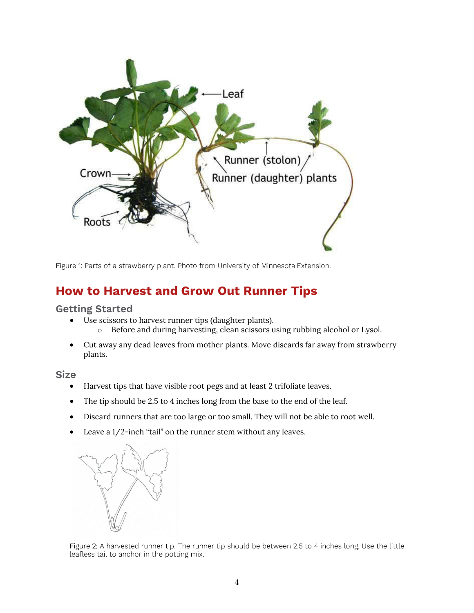

Figure 1: Parts of a strawberry plant. Photo from University of Minnesota Extension.

### <span id="page-3-0"></span>**How to Harvest and Grow Out Runner Tips**

<span id="page-3-1"></span>**Getting Started** 

- Use scissors to harvest runner tips (daughter plants).
	- o Before and during harvesting, clean scissors using rubbing alcohol or Lysol.
- Cut away any dead leaves from mother plants. Move discards far away from strawberry plants.

<span id="page-3-2"></span>**Size** 

- Harvest tips that have visible root pegs and at least 2 trifoliate leaves.
- The tip should be 2.5 to 4 inches long from the base to the end of the leaf.
- Discard runners that are too large or too small. They will not be able to root well.
- Leave a 1/2-inch "tail" on the runner stem without any leaves.



Figure 2: A harvested runner tip. The runner tip should be between 2.5 to 4 inches long. Use the little leafless tail to anchor in the potting mix.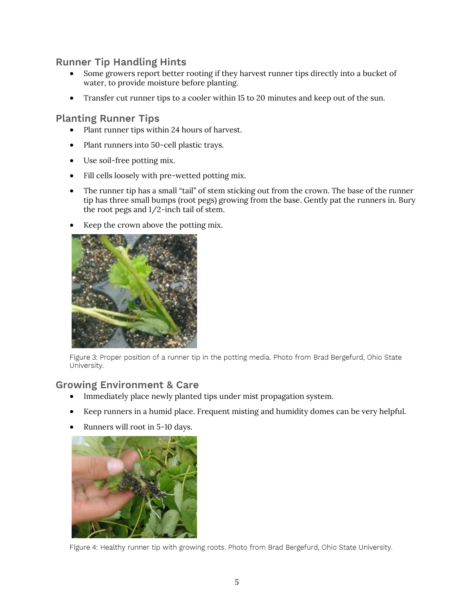### <span id="page-4-0"></span>**Runner Tip Handling Hints**

- Some growers report better rooting if they harvest runner tips directly into a bucket of water, to provide moisture before planting.
- Transfer cut runner tips to a cooler within 15 to 20 minutes and keep out of the sun.

### <span id="page-4-1"></span>**Planting Runner Tips**

- Plant runner tips within 24 hours of harvest.
- Plant runners into 50-cell plastic trays.
- Use soil-free potting mix.
- Fill cells loosely with pre-wetted potting mix.
- The runner tip has a small "tail" of stem sticking out from the crown. The base of the runner tip has three small bumps (root pegs) growing from the base. Gently pat the runners in. Bury the root pegs and 1/2-inch tail of stem.
- Keep the crown above the potting mix.



Figure 3: Proper position of a runner tip in the potting media. Photo from Brad Bergefurd, Ohio State University.

### <span id="page-4-2"></span>**Growing Environment & Care**

- Immediately place newly planted tips under mist propagation system.
- Keep runners in a humid place. Frequent misting and humidity domes can be very helpful.
- Runners will root in 5-10 days.



Figure 4: Healthy runner tip with growing roots. Photo from Brad Bergefurd, Ohio State University.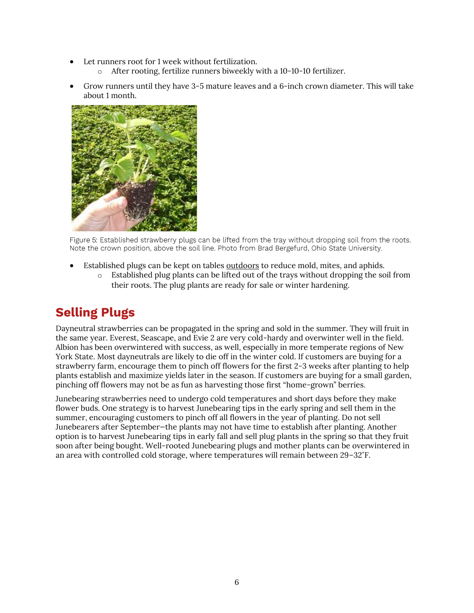- Let runners root for 1 week without fertilization.
	- o After rooting, fertilize runners biweekly with a 10-10-10 fertilizer.
- Grow runners until they have 3-5 mature leaves and a 6-inch crown diameter. This will take about 1 month.



Figure 5: Established strawberry plugs can be lifted from the tray without dropping soil from the roots. Note the crown position, above the soil line. Photo from Brad Bergefurd, Ohio State University.

- Established plugs can be kept on tables outdoors to reduce mold, mites, and aphids.
	- o Established plug plants can be lifted out of the trays without dropping the soil from their roots. The plug plants are ready for sale or winter hardening.

# <span id="page-5-0"></span>**Selling Plugs**

Dayneutral strawberries can be propagated in the spring and sold in the summer. They will fruit in the same year. Everest, Seascape, and Evie 2 are very cold-hardy and overwinter well in the field. Albion has been overwintered with success, as well, especially in more temperate regions of New York State. Most dayneutrals are likely to die off in the winter cold. If customers are buying for a strawberry farm, encourage them to pinch off flowers for the first 2-3 weeks after planting to help plants establish and maximize yields later in the season. If customers are buying for a small garden, pinching off flowers may not be as fun as harvesting those first "home-grown" berries.

Junebearing strawberries need to undergo cold temperatures and short days before they make flower buds. One strategy is to harvest Junebearing tips in the early spring and sell them in the summer, encouraging customers to pinch off all flowers in the year of planting. Do not sell Junebearers after September—the plants may not have time to establish after planting. Another option is to harvest Junebearing tips in early fall and sell plug plants in the spring so that they fruit soon after being bought. Well-rooted Junebearing plugs and mother plants can be overwintered in an area with controlled cold storage, where temperatures will remain between 29–32˚F.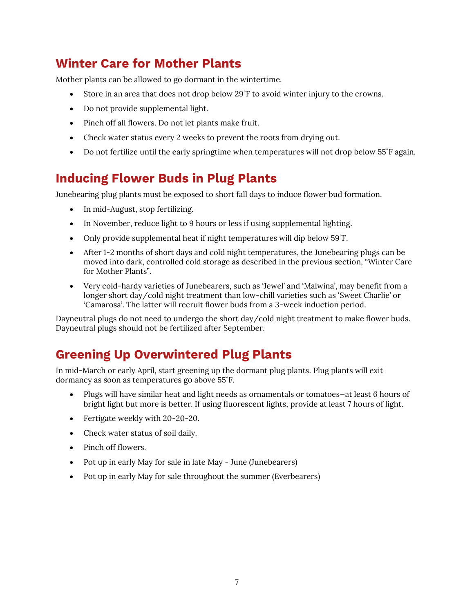# <span id="page-6-0"></span>**Winter Care for Mother Plants**

Mother plants can be allowed to go dormant in the wintertime.

- Store in an area that does not drop below 29˚F to avoid winter injury to the crowns.
- Do not provide supplemental light.
- Pinch off all flowers. Do not let plants make fruit.
- Check water status every 2 weeks to prevent the roots from drying out.
- Do not fertilize until the early springtime when temperatures will not drop below 55°F again.

# <span id="page-6-1"></span>**Inducing Flower Buds in Plug Plants**

Junebearing plug plants must be exposed to short fall days to induce flower bud formation.

- In mid-August, stop fertilizing.
- In November, reduce light to 9 hours or less if using supplemental lighting.
- Only provide supplemental heat if night temperatures will dip below 59˚F.
- After 1-2 months of short days and cold night temperatures, the Junebearing plugs can be moved into dark, controlled cold storage as described in the previous section, "Winter Care for Mother Plants".
- Very cold-hardy varieties of Junebearers, such as 'Jewel' and 'Malwina', may benefit from a longer short day/cold night treatment than low-chill varieties such as 'Sweet Charlie' or 'Camarosa'. The latter will recruit flower buds from a 3-week induction period.

Dayneutral plugs do not need to undergo the short day/cold night treatment to make flower buds. Dayneutral plugs should not be fertilized after September.

# <span id="page-6-2"></span>**Greening Up Overwintered Plug Plants**

In mid-March or early April, start greening up the dormant plug plants. Plug plants will exit dormancy as soon as temperatures go above 55˚F.

- Plugs will have similar heat and light needs as ornamentals or tomatoes—at least 6 hours of bright light but more is better. If using fluorescent lights, provide at least 7 hours of light.
- Fertigate weekly with 20-20-20.
- Check water status of soil daily.
- Pinch off flowers.
- Pot up in early May for sale in late May June (Junebearers)
- Pot up in early May for sale throughout the summer (Everbearers)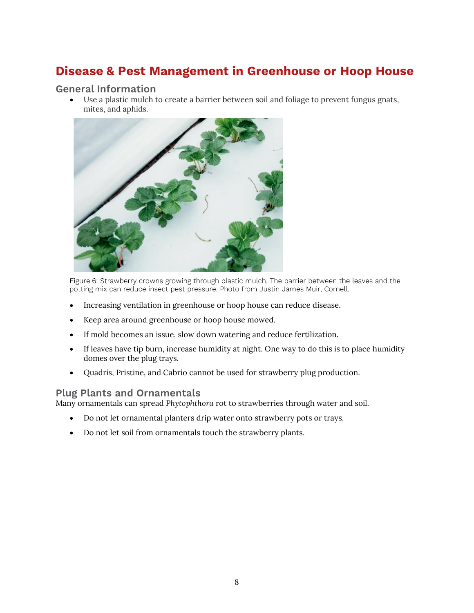# <span id="page-7-0"></span>**Disease & Pest Management in Greenhouse or Hoop House**

#### <span id="page-7-1"></span>**General Information**

• Use a plastic mulch to create a barrier between soil and foliage to prevent fungus gnats, mites, and aphids.



Figure 6: Strawberry crowns growing through plastic mulch. The barrier between the leaves and the potting mix can reduce insect pest pressure. Photo from Justin James Muir, Cornell.

- Increasing ventilation in greenhouse or hoop house can reduce disease.
- Keep area around greenhouse or hoop house mowed.
- If mold becomes an issue, slow down watering and reduce fertilization.
- If leaves have tip burn, increase humidity at night. One way to do this is to place humidity domes over the plug trays.
- Quadris, Pristine, and Cabrio cannot be used for strawberry plug production.

### <span id="page-7-2"></span>**Plug Plants and Ornamentals**

Many ornamentals can spread *Phytophthora* rot to strawberries through water and soil.

- Do not let ornamental planters drip water onto strawberry pots or trays.
- Do not let soil from ornamentals touch the strawberry plants.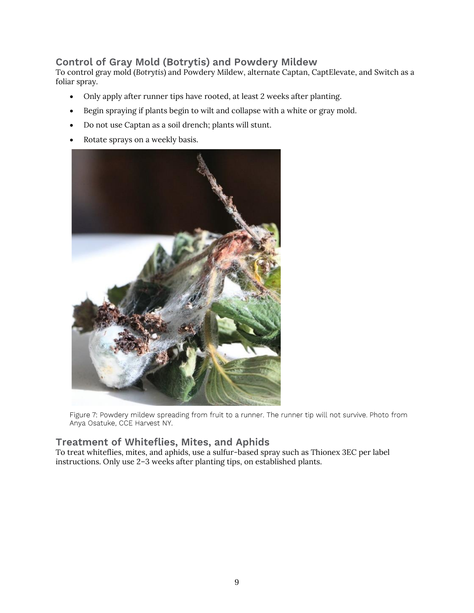### <span id="page-8-0"></span>**Control of Gray Mold (Botrytis) and Powdery Mildew**

To control gray mold (*Botrytis*) and Powdery Mildew, alternate Captan, CaptElevate, and Switch as a foliar spray.

- Only apply after runner tips have rooted, at least 2 weeks after planting.
- Begin spraying if plants begin to wilt and collapse with a white or gray mold.
- Do not use Captan as a soil drench; plants will stunt.
- Rotate sprays on a weekly basis.



Figure 7: Powdery mildew spreading from fruit to a runner. The runner tip will not survive. Photo from Anya Osatuke, CCE Harvest NY.

### <span id="page-8-1"></span>**Treatment of Whiteflies, Mites, and Aphids**

To treat whiteflies, mites, and aphids, use a sulfur-based spray such as Thionex 3EC per label instructions. Only use 2–3 weeks after planting tips, on established plants.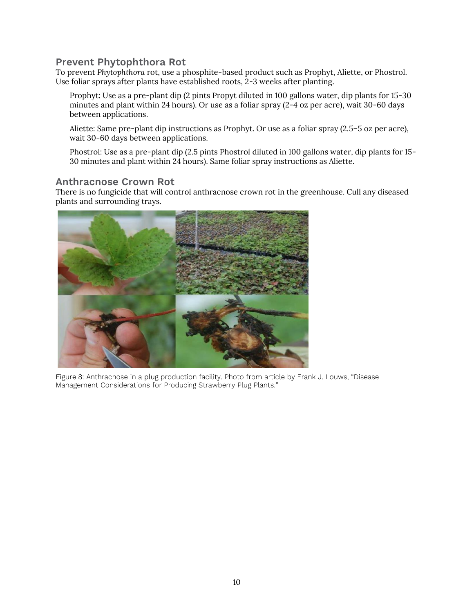#### <span id="page-9-0"></span>**Prevent Phytophthora Rot**

To prevent *Phytophthora* rot, use a phosphite-based product such as Prophyt, Aliette, or Phostrol. Use foliar sprays after plants have established roots, 2-3 weeks after planting.

Prophyt: Use as a pre-plant dip (2 pints Propyt diluted in 100 gallons water, dip plants for 15-30 minutes and plant within 24 hours). Or use as a foliar spray (2-4 oz per acre), wait 30-60 days between applications.

Aliette: Same pre-plant dip instructions as Prophyt. Or use as a foliar spray (2.5–5 oz per acre), wait 30-60 days between applications.

Phostrol: Use as a pre-plant dip (2.5 pints Phostrol diluted in 100 gallons water, dip plants for 15- 30 minutes and plant within 24 hours). Same foliar spray instructions as Aliette.

#### <span id="page-9-1"></span>**Anthracnose Crown Rot**

There is no fungicide that will control anthracnose crown rot in the greenhouse. Cull any diseased plants and surrounding trays.



Figure 8: Anthracnose in a plug production facility. Photo from article by Frank J. Louws, "Disease Management Considerations for Producing Strawberry Plug Plants."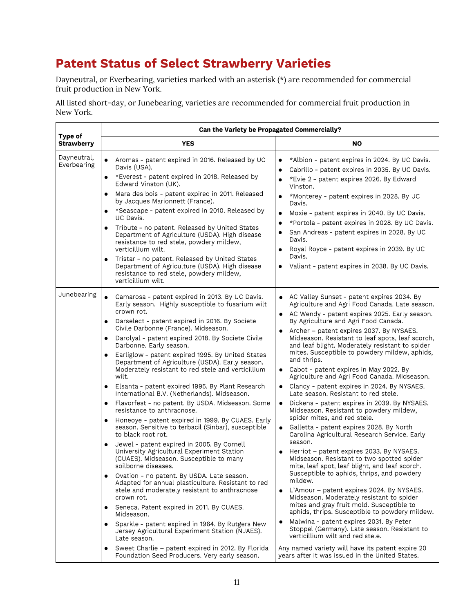# <span id="page-10-0"></span>**Patent Status of Select Strawberry Varieties**

Dayneutral, or Everbearing, varieties marked with an asterisk (\*) are recommended for commercial fruit production in New York.

All listed short-day, or Junebearing, varieties are recommended for commercial fruit production in New York.

| <b>Type of</b><br><b>Strawberry</b>                                                                                                                                              | <b>YES</b>                                                                                                                                                                                                                                                                                                                                                                                                                                                                                                                                                                                                                                                                                                                                                                                                                                                                                                                                                                                                                                                                                                                                                                                                                                                                                                                                                  |                                                                                                                                                                                                                                                                                                                                                                                                                                                                                                                                                                                                                                                                                                                                                                                                                                                                                                                                                                                                                                                                                                                                                                                                                                                                                                                                                                                                                                                    |
|----------------------------------------------------------------------------------------------------------------------------------------------------------------------------------|-------------------------------------------------------------------------------------------------------------------------------------------------------------------------------------------------------------------------------------------------------------------------------------------------------------------------------------------------------------------------------------------------------------------------------------------------------------------------------------------------------------------------------------------------------------------------------------------------------------------------------------------------------------------------------------------------------------------------------------------------------------------------------------------------------------------------------------------------------------------------------------------------------------------------------------------------------------------------------------------------------------------------------------------------------------------------------------------------------------------------------------------------------------------------------------------------------------------------------------------------------------------------------------------------------------------------------------------------------------|----------------------------------------------------------------------------------------------------------------------------------------------------------------------------------------------------------------------------------------------------------------------------------------------------------------------------------------------------------------------------------------------------------------------------------------------------------------------------------------------------------------------------------------------------------------------------------------------------------------------------------------------------------------------------------------------------------------------------------------------------------------------------------------------------------------------------------------------------------------------------------------------------------------------------------------------------------------------------------------------------------------------------------------------------------------------------------------------------------------------------------------------------------------------------------------------------------------------------------------------------------------------------------------------------------------------------------------------------------------------------------------------------------------------------------------------------|
|                                                                                                                                                                                  |                                                                                                                                                                                                                                                                                                                                                                                                                                                                                                                                                                                                                                                                                                                                                                                                                                                                                                                                                                                                                                                                                                                                                                                                                                                                                                                                                             | <b>NO</b>                                                                                                                                                                                                                                                                                                                                                                                                                                                                                                                                                                                                                                                                                                                                                                                                                                                                                                                                                                                                                                                                                                                                                                                                                                                                                                                                                                                                                                          |
| Dayneutral,<br>$\bullet$<br>Everbearing<br>$\bullet$<br>$\bullet$<br>$\bullet$<br>$\bullet$<br>$\bullet$                                                                         | Aromas - patent expired in 2016. Released by UC<br>Davis (USA).<br>*Everest - patent expired in 2018. Released by<br>Edward Vinston (UK).<br>Mara des bois - patent expired in 2011. Released<br>by Jacques Marionnett (France).<br>*Seascape - patent expired in 2010. Released by<br>UC Davis.<br>Tribute - no patent. Released by United States<br>Department of Agriculture (USDA). High disease<br>resistance to red stele, powdery mildew,<br>verticillium wilt.<br>Tristar - no patent. Released by United States<br>Department of Agriculture (USDA). High disease<br>resistance to red stele, powdery mildew,<br>verticillium wilt.                                                                                                                                                                                                                                                                                                                                                                                                                                                                                                                                                                                                                                                                                                                | *Albion - patent expires in 2024. By UC Davis.<br>Cabrillo - patent expires in 2035. By UC Davis.<br>$\bullet$<br>*Evie 2 - patent expires 2026. By Edward<br>$\bullet$<br>Vinston.<br>*Monterey - patent expires in 2028. By UC<br>Davis.<br>Moxie - patent expires in 2040. By UC Davis.<br>$\bullet$<br>*Portola - patent expires in 2028. By UC Davis.<br>$\bullet$<br>San Andreas - patent expires in 2028. By UC<br>$\bullet$<br>Davis.<br>Royal Royce - patent expires in 2039. By UC<br>$\bullet$<br>Davis.<br>Valiant - patent expires in 2038. By UC Davis.<br>$\bullet$                                                                                                                                                                                                                                                                                                                                                                                                                                                                                                                                                                                                                                                                                                                                                                                                                                                                 |
| Junebearing<br>$\bullet$<br>$\bullet$<br>$\bullet$<br>$\bullet$<br>wilt.<br>$\bullet$<br>$\bullet$<br>$\bullet$<br>$\bullet$<br>$\bullet$<br>$\bullet$<br>$\bullet$<br>$\bullet$ | Camarosa - patent expired in 2013. By UC Davis.<br>Early season. Highly susceptible to fusarium wilt<br>crown rot.<br>Darselect - patent expired in 2016. By Societe<br>Civile Darbonne (France). Midseason.<br>Darolyal - patent expired 2018. By Societe Civile<br>Darbonne. Early season.<br>Earliglow - patent expired 1995. By United States<br>Department of Agriculture (USDA). Early season.<br>Moderately resistant to red stele and verticillium<br>Elsanta - patent expired 1995. By Plant Research<br>International B.V. (Netherlands). Midseason.<br>Flavorfest - no patent. By USDA. Midseason. Some<br>resistance to anthracnose.<br>Honeoye - patent expired in 1999. By CUAES. Early<br>season. Sensitive to terbacil (Sinbar), susceptible<br>to black root rot.<br>Jewel - patent expired in 2005. By Cornell<br>University Agricultural Experiment Station<br>(CUAES). Midseason. Susceptible to many<br>soilborne diseases.<br>Ovation - no patent. By USDA. Late season.<br>Adapted for annual plasticulture. Resistant to red<br>stele and moderately resistant to anthracnose<br>crown rot.<br>Seneca. Patent expired in 2011. By CUAES.<br>Midseason.<br>Sparkle - patent expired in 1964. By Rutgers New<br>Jersey Agricultural Experiment Station (NJAES).<br>Late season.<br>Sweet Charlie - patent expired in 2012. By Florida | • AC Valley Sunset - patent expires 2034. By<br>Agriculture and Agri Food Canada. Late season.<br>• AC Wendy - patent expires 2025. Early season.<br>By Agriculture and Agri Food Canada.<br>Archer – patent expires 2037. By NYSAES.<br>Midseason. Resistant to leaf spots, leaf scorch,<br>and leaf blight. Moderately resistant to spider<br>mites. Susceptible to powdery mildew, aphids,<br>and thrips.<br>• Cabot - patent expires in May 2022. By<br>Agriculture and Agri Food Canada. Midseason.<br>• Clancy - patent expires in 2024. By NYSAES.<br>Late season. Resistant to red stele.<br>Dickens - patent expires in 2039. By NYSAES.<br>$\bullet$<br>Midseason. Resistant to powdery mildew,<br>spider mites, and red stele.<br>Galletta - patent expires 2028. By North<br>$\bullet$<br>Carolina Agricultural Research Service. Early<br>season.<br>Herriot - patent expires 2033. By NYSAES.<br>Midseason. Resistant to two spotted spider<br>mite, leaf spot, leaf blight, and leaf scorch.<br>Susceptible to aphids, thrips, and powdery<br>mildew.<br>• L'Amour - patent expires 2024. By NYSAES.<br>Midseason. Moderately resistant to spider<br>mites and gray fruit mold. Susceptible to<br>aphids, thrips. Susceptible to powdery mildew.<br>Malwina - patent expires 2031. By Peter<br>Stoppel (Germany). Late season. Resistant to<br>verticillium wilt and red stele.<br>Any named variety will have its patent expire 20 |